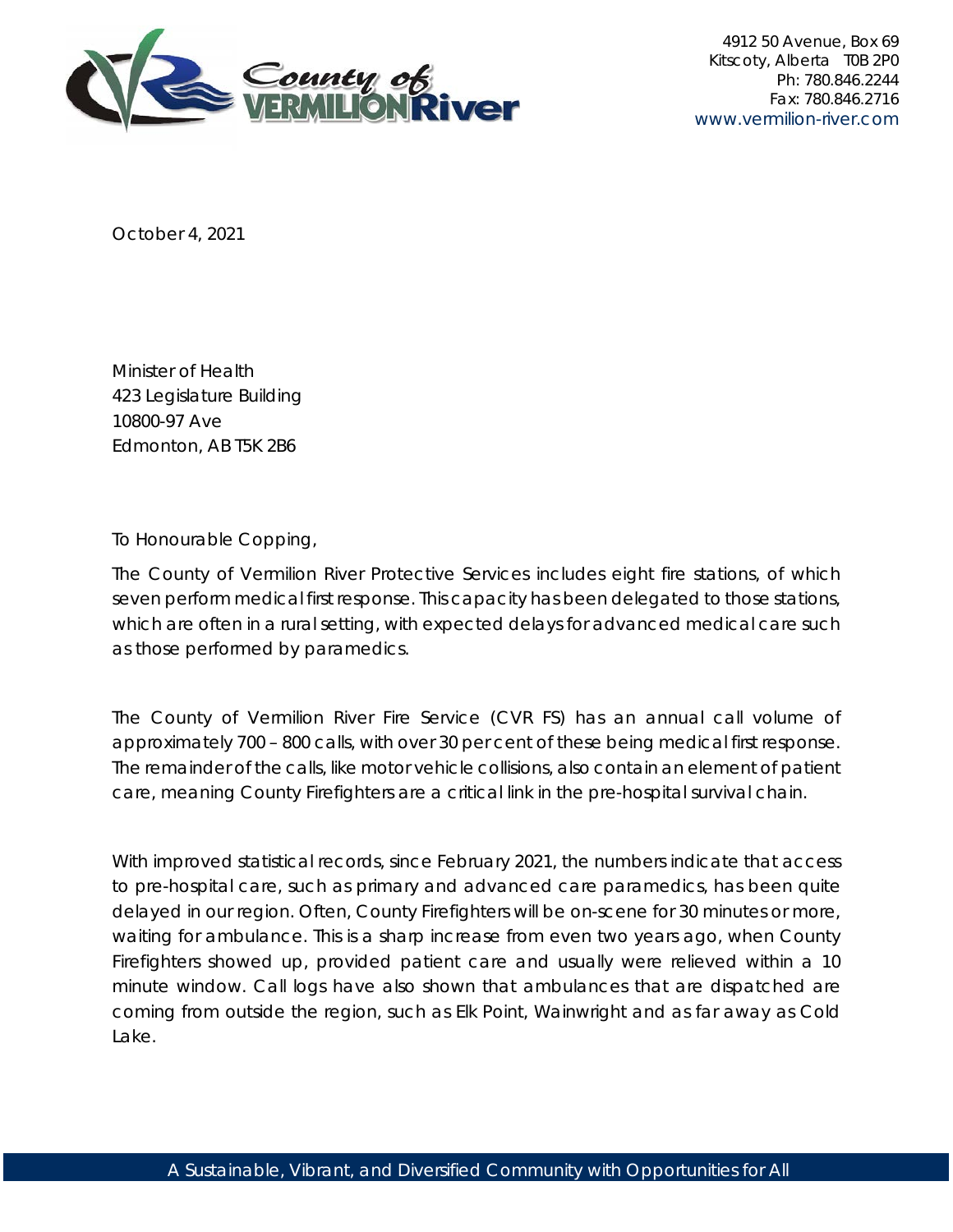

4912 50 Avenue, Box 69 Kitscoty, Alberta T0B 2P0 Ph: 780.846.2244 Fax: 780.846.2716 www.vermilion-river.com

October 4, 2021

Minister of Health 423 Legislature Building 10800-97 Ave Edmonton, AB T5K 2B6

To Honourable Copping,

The County of Vermilion River Protective Services includes eight fire stations, of which seven perform medical first response. This capacity has been delegated to those stations, which are often in a rural setting, with expected delays for advanced medical care such as those performed by paramedics.

The County of Vermilion River Fire Service (CVR FS) has an annual call volume of approximately 700 – 800 calls, with over 30 per cent of these being medical first response. The remainder of the calls, like motor vehicle collisions, also contain an element of patient care, meaning County Firefighters are a critical link in the pre-hospital survival chain.

With improved statistical records, since February 2021, the numbers indicate that access to pre-hospital care, such as primary and advanced care paramedics, has been quite delayed in our region. Often, County Firefighters will be on-scene for 30 minutes or more, waiting for ambulance. This is a sharp increase from even two years ago, when County Firefighters showed up, provided patient care and usually were relieved within a 10 minute window. Call logs have also shown that ambulances that are dispatched are coming from outside the region, such as Elk Point, Wainwright and as far away as Cold Lake.